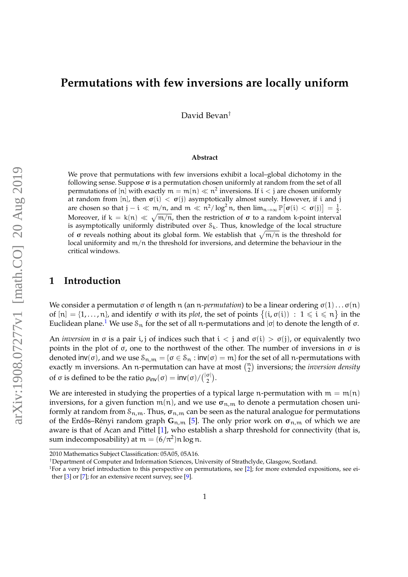# **Permutations with few inversions are locally uniform**

David Bevan†

#### **Abstract**

We prove that permutations with few inversions exhibit a local–global dichotomy in the following sense. Suppose  $\sigma$  is a permutation chosen uniformly at random from the set of all permutations of [n] with exactly  $\mathfrak{m}=\mathfrak{m}(\mathfrak{n})\ll \mathfrak{n}^2$  inversions. If  $\mathfrak{i}<\mathfrak{j}$  are chosen uniformly at random from [n], then  $\sigma(i) < \sigma(j)$  asymptotically almost surely. However, if i and j are chosen so that  $j - i \ll m/n$ , and  $m \ll n^2/\log^2 n$ , then  $\lim_{n \to \infty} \mathbb{P}[\sigma(i) < \sigma(j)] = \frac{1}{2}$ . Moreover, if  $k = k(n) \ll \sqrt{m/n}$ , then the restriction of  $\sigma$  to a random k-point interval is asymptotically uniformly distributed over  $S_k$ . Thus, knowledge of the local structure of σ reveals nothing about its global form. We establish that  $\sqrt{\mathfrak{m}/\mathfrak{n}}$  is the threshold for local uniformity and  $m/n$  the threshold for inversions, and determine the behaviour in the critical windows.

### **1 Introduction**

We consider a permutation σ of length n (an n-*permutation*) to be a linear ordering  $σ(1) \dots σ(n)$ of  $[n] = \{1, ..., n\}$ , and identify  $\sigma$  with its *plot*, the set of points  $\{(i, \sigma(i)) : 1 \leq i \leq n\}$  in the Euclidean plane.<sup>[1](#page-0-0)</sup> We use  $\mathcal{S}_n$  for the set of all n-permutations and  $|\sigma|$  to denote the length of σ.

An *inversion* in  $\sigma$  is a pair i, j of indices such that  $i < j$  and  $\sigma(i) > \sigma(j)$ , or equivalently two points in the plot of  $\sigma$ , one to the northwest of the other. The number of inversions in  $\sigma$  is denoted  $inv(\sigma)$ , and we use  $\mathcal{S}_{n,m} = {\sigma \in \mathcal{S}_n : inv(\sigma) = m}$  for the set of all n-permutations with exactly m inversions. An n-permutation can have at most  $\binom{n}{2}$  inversions; the *inversion density* of σ is defined to be the ratio  $ρ_{inv}(σ) = inv(σ)/\binom{|\sigma|}{2}$  $\frac{\sigma}{2}$ ).

We are interested in studying the properties of a typical large n-permutation with  $m = m(n)$ inversions, for a given function  $m(n)$ , and we use  $\sigma_{n,m}$  to denote a permutation chosen uniformly at random from  $S_{n,m}$ . Thus,  $\sigma_{n,m}$  can be seen as the natural analogue for permutations of the Erdős–Rényi random graph  $\mathbf{G}_{n,m}$  [\[5\]](#page-16-0). The only prior work on  $\sigma_{n,m}$  of which we are aware is that of Acan and Pittel [\[1\]](#page-16-1), who establish a sharp threshold for connectivity (that is, sum indecomposability) at  $m = (6/\pi^2)n \log n$ .

<sup>2010</sup> Mathematics Subject Classification: 05A05, 05A16.

<sup>†</sup>Department of Computer and Information Sciences, University of Strathclyde, Glasgow, Scotland.

<span id="page-0-0"></span><sup>&</sup>lt;sup>1</sup>For a very brief introduction to this perspective on permutations, see [\[2\]](#page-16-2); for more extended expositions, see either  $[3]$  or  $[7]$ ; for an extensive recent survey, see  $[9]$ .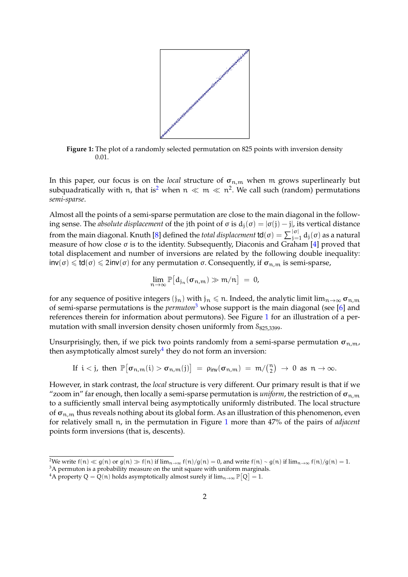

<span id="page-1-2"></span>**Figure 1:** The plot of a randomly selected permutation on 825 points with inversion density 0.01.

In this paper, our focus is on the *local* structure of  $\sigma_{n,m}$  when m grows superlinearly but subquadratically with n, that is<sup>[2](#page-1-0)</sup> when  $n \ll m \ll n^2$ . We call such (random) permutations *semi-sparse*.

Almost all the points of a semi-sparse permutation are close to the main diagonal in the following sense. The *absolute displacement* of the jth point of σ is  $d_i(σ) = |σ(j) – j|$ , its vertical distance from the main diagonal. Knuth [\[8\]](#page-16-6) defined the *total displacement* **td**( $\sigma$ ) =  $\sum_{j=1}^{|\sigma|} d_j(\sigma)$  as a natural measure of how close  $\sigma$  is to the identity. Subsequently, Diaconis and Graham [\[4\]](#page-16-7) proved that total displacement and number of inversions are related by the following double inequality:  $inv(σ)$  ≤ td( $σ$ ) ≤ 2inv( $σ$ ) for any permutation  $σ$ . Consequently, if  $σ_{n,m}$  is semi-sparse,

$$
\lim_{n\to\infty}\mathbb{P}\big[d_{j_n}(\sigma_{n,m})\gg m/n\big] = 0,
$$

for any sequence of positive integers  $(j_n)$  with  $j_n \leq n$ . Indeed, the analytic limit lim $_{n\to\infty} \sigma_{n,m}$ of semi-sparse permutations is the *permuton*[3](#page-1-1) whose support is the main diagonal (see [\[6\]](#page-16-8) and references therein for information about permutons). See Figure [1](#page-1-2) for an illustration of a permutation with small inversion density chosen uniformly from  $S_{825,3399}$ .

Unsurprisingly, then, if we pick two points randomly from a semi-sparse permutation  $\sigma_{n,m}$ , then asymptotically almost surely $4$  they do not form an inversion:

If 
$$
i < j
$$
, then  $\mathbb{P}[\sigma_{n,m}(i) > \sigma_{n,m}(j)] = \rho_{inv}(\sigma_{n,m}) = m/(\frac{n}{2}) \to 0$  as  $n \to \infty$ .

However, in stark contrast, the *local* structure is very different. Our primary result is that if we "zoom in" far enough, then locally a semi-sparse permutation is *uniform*, the restriction of  $\sigma_{n,m}$ to a sufficiently small interval being asymptotically uniformly distributed. The local structure of  $\sigma_{n,m}$  thus reveals nothing about its global form. As an illustration of this phenomenon, even for relatively small n, in the permutation in Figure [1](#page-1-2) more than 47% of the pairs of *adjacent* points form inversions (that is, descents).

<span id="page-1-0"></span><sup>&</sup>lt;sup>2</sup>We write f(n)  $\ll g(n)$  or  $g(n)$   $\gg$  f(n) if lim<sub>n→∞</sub> f(n)/g(n) = 0, and write f(n) ~ g(n) if lim<sub>n→∞</sub> f(n)/g(n) = 1.

<span id="page-1-1"></span><sup>&</sup>lt;sup>3</sup>A permuton is a probability measure on the unit square with uniform marginals.

<span id="page-1-3"></span><sup>&</sup>lt;sup>4</sup>A property Q =  $Q(n)$  holds asymptotically almost surely if  $\lim_{n\to\infty} \mathbb{P}[Q] = 1$ .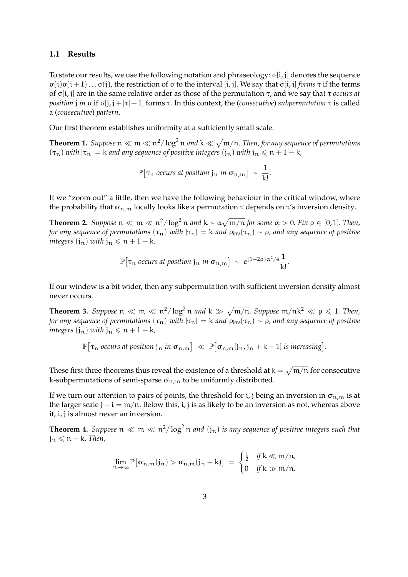#### **1.1 Results**

To state our results, we use the following notation and phraseology: σ[i, j] denotes the sequence σ(i)σ(i + 1). . . σ(j), the restriction of σ to the interval [i, j]. We say that σ[i, j] *forms* τ if the terms of σ[i, j] are in the same relative order as those of the permutation τ, and we say that τ *occurs at position j in*  $\sigma$  if  $\sigma$ [*j*, *j* +  $|\tau|$  - 1] forms  $\tau$ . In this context, the (*consecutive*) *subpermutation*  $\tau$  *is called* a (*consecutive*) *pattern*.

Our first theorem establishes uniformity at a sufficiently small scale.

<span id="page-2-0"></span>**Theorem 1.** Suppose  $n \ll m \ll n^2/\log^2 n$  and  $k \ll \sqrt{m/n}$ . Then, for any sequence of permutations  $(\tau_n)$  *with*  $|\tau_n| = k$  *and any sequence of positive integers*  $(j_n)$  *with*  $j_n \leq n + 1 - k$ *,* 

$$
\mathbb{P}[\tau_n \text{ occurs at position } j_n \text{ in } \sigma_{n,m}] \sim \frac{1}{k!}.
$$

If we "zoom out" a little, then we have the following behaviour in the critical window, where the probability that  $\sigma_{n,m}$  locally looks like a permutation  $\tau$  depends on  $\tau$ 's inversion density.

<span id="page-2-1"></span>**Theorem 2.** Suppose  $n \ll m \ll n^2/\log^2 n$  and  $k \sim \alpha \sqrt{m/n}$  for some  $\alpha > 0$ . Fix  $\rho \in [0,1]$ . Then, *for any sequence of permutations*  $(\tau_n)$  *with*  $|\tau_n| = k$  *and*  $\rho_{\text{inv}}(\tau_n) \sim \rho$ *, and any sequence of positive integers*  $(j_n)$  *with*  $j_n \leq n + 1 - k$ *,* 

$$
\mathbb{P}[\tau_n \text{ occurs at position } j_n \text{ in } \sigma_{n,m}] \sim e^{(1-2\rho)\alpha^2/4} \frac{1}{k!}.
$$

If our window is a bit wider, then any subpermutation with sufficient inversion density almost never occurs.

<span id="page-2-2"></span>**Theorem 3.** Suppose  $n \ll m \ll n^2/\log^2 n$  and  $k \gg \sqrt{m/n}$ . Suppose  $m/nk^2 \ll \rho \leq 1$ . Then, *for any sequence of permutations*  $(\tau_n)$  *with*  $|\tau_n| = k$  *and*  $\rho_{\text{inv}}(\tau_n) \sim \rho$ *, and any sequence of positive integers*  $(j_n)$  *with*  $j_n \leq n + 1 - k$ *,* 

 $\mathbb{P}[\tau_n$  occurs at position  $\mathfrak{j}_n$  in  $\sigma_{n,m}$   $] \ll \mathbb{P}[\sigma_{n,m}[\mathfrak{j}_n,\mathfrak{j}_n+k-1]$  is increasing .

These first three theorems thus reveal the existence of a threshold at  $k=\sqrt{\mathfrak{m}/\mathfrak{n}}$  for consecutive k-subpermutations of semi-sparse  $\sigma_{n,m}$  to be uniformly distributed.

If we turn our attention to pairs of points, the threshold for i, j being an inversion in  $\sigma_{n,m}$  is at the larger scale  $j - i = m/n$ . Below this, i, j is as likely to be an inversion as not, whereas above it, i, j is almost never an inversion.

<span id="page-2-3"></span>**Theorem 4.** Suppose  $n \ll m \ll n^2/\log^2 n$  and  $(j_n)$  is any sequence of positive integers such that  $j_n \leq n - k$ *. Then,* 

$$
\lim_{n\to\infty}\mathbb{P}[\sigma_{n,m}(j_n) > \sigma_{n,m}(j_n+k)] = \begin{cases} \frac{1}{2} & \text{if } k \ll m/n, \\ 0 & \text{if } k \gg m/n. \end{cases}
$$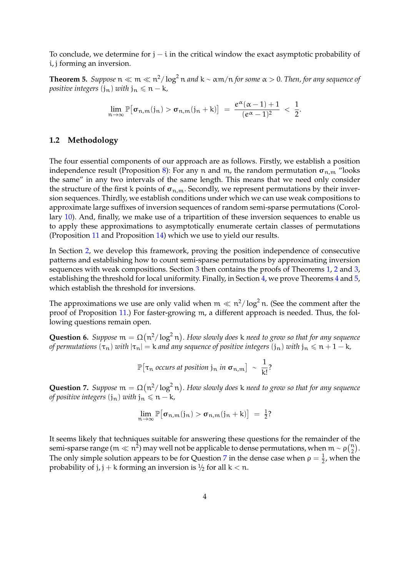To conclude, we determine for  $j - i$  in the critical window the exact asymptotic probability of i, j forming an inversion.

<span id="page-3-0"></span>**Theorem 5.** Suppose  $n \ll m \ll n^2/\log^2 n$  and  $k \sim \alpha m/n$  for some  $\alpha > 0$ . Then, for any sequence of *positive integers*  $(i_n)$  *with*  $j_n \leq n - k$ *,* 

$$
\lim_{n\to\infty}\mathbb{P}\big[\sigma_{n,m}(j_n)>\sigma_{n,m}(j_n+k)\big]\;=\;\frac{e^{\alpha}(\alpha-1)+1}{(e^{\alpha}-1)^2}\;<\;\frac{1}{2}.
$$

### **1.2 Methodology**

The four essential components of our approach are as follows. Firstly, we establish a position independence result (Proposition [8\)](#page-4-0): For any n and m, the random permutation  $\sigma_{n,m}$  "looks the same" in any two intervals of the same length. This means that we need only consider the structure of the first k points of  $\sigma_{n,m}$ . Secondly, we represent permutations by their inversion sequences. Thirdly, we establish conditions under which we can use weak compositions to approximate large suffixes of inversion sequences of random semi-sparse permutations (Corollary [10\)](#page-6-0). And, finally, we make use of a tripartition of these inversion sequences to enable us to apply these approximations to asymptotically enumerate certain classes of permutations (Proposition [11](#page-7-0) and Proposition [14\)](#page-9-0) which we use to yield our results.

In Section [2,](#page-4-1) we develop this framework, proving the position independence of consecutive patterns and establishing how to count semi-sparse permutations by approximating inversion sequences with weak compositions. Section [3](#page-9-1) then contains the proofs of Theorems [1,](#page-2-0) [2](#page-2-1) and [3,](#page-2-2) establishing the threshold for local uniformity. Finally, in Section [4,](#page-12-0) we prove Theorems [4](#page-2-3) and [5,](#page-3-0) which establish the threshold for inversions.

The approximations we use are only valid when  $m \ll n^2/\log^2 n$ . (See the comment after the proof of Proposition [11.](#page-7-0)) For faster-growing m, a different approach is needed. Thus, the following questions remain open.

**Question 6.** Suppose  $m = \Omega(n^2/\log^2 n)$ . How slowly does k need to grow so that for any sequence *of permutations*  $(\tau_n)$  *with*  $|\tau_n| = k$  *and any sequence of positive integers*  $(j_n)$  *with*  $j_n \leq n + 1 - k$ *,* 

$$
\mathbb{P}[\tau_n \text{ occurs at position } j_n \text{ in } \sigma_{n,m}] \sim \frac{1}{k!}?
$$

<span id="page-3-1"></span>**Question 7.** Suppose  $m = \Omega(n^2/\log^2 n)$ . How slowly does k need to grow so that for any sequence *of positive integers*  $(j_n)$  *with*  $j_n \leq n - k$ *,* 

$$
\lim_{n\to\infty}\mathbb{P}\big[\sigma_{n,m}(j_n)>\sigma_{n,m}(j_n+k)\big] = \tfrac{1}{2}?
$$

It seems likely that techniques suitable for answering these questions for the remainder of the semi-sparse range ( $m \ll n^2$ ) may well not be applicable to dense permutations, when  $m \sim \rho(\frac{n}{2})$ . The only simple solution appears to be for Question [7](#page-3-1) in the dense case when  $\rho = \frac{1}{2}$  $\frac{1}{2}$ , when the probability of j, j + k forming an inversion is  $\frac{1}{2}$  for all k < n.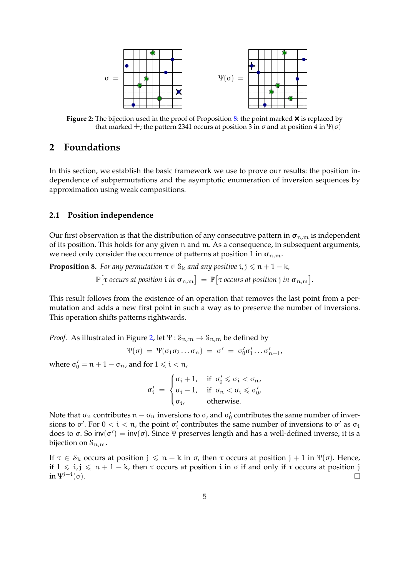<span id="page-4-2"></span>

**Figure 2:** The bijection used in the proof of Proposition [8:](#page-4-0) the point marked  $\times$  is replaced by that marked  $\pm$ ; the pattern 2341 occurs at position 3 in σ and at position 4 in Ψ(σ)

# <span id="page-4-1"></span>**2 Foundations**

In this section, we establish the basic framework we use to prove our results: the position independence of subpermutations and the asymptotic enumeration of inversion sequences by approximation using weak compositions.

### **2.1 Position independence**

Our first observation is that the distribution of any consecutive pattern in  $\sigma_{n,m}$  is independent of its position. This holds for any given n and m. As a consequence, in subsequent arguments, we need only consider the occurrence of patterns at position 1 in  $\sigma_{n,m}$ .

<span id="page-4-0"></span>**Proposition 8.** *For any permutation*  $\tau \in S_k$  *and any positive*  $i, j \leq n + 1 - k$ *,* 

 $\mathbb{P}\big[\tau$  occurs at position  $\mathfrak{i}$  *in*  $\boldsymbol{\sigma}_{\mathfrak{n},\mathfrak{m}}\big]=\mathbb{P}\big[\tau$  occurs at position  $\mathfrak{j}$  *in*  $\boldsymbol{\sigma}_{\mathfrak{n},\mathfrak{m}}\big].$ 

This result follows from the existence of an operation that removes the last point from a permutation and adds a new first point in such a way as to preserve the number of inversions. This operation shifts patterns rightwards.

*Proof.* As illustrated in Figure [2,](#page-4-2) let  $\Psi$  :  $\mathcal{S}_{n,m} \to \mathcal{S}_{n,m}$  be defined by

$$
\Psi(\sigma) = \Psi(\sigma_1 \sigma_2 \dots \sigma_n) = \sigma' = \sigma'_0 \sigma'_1 \dots \sigma'_{n-1},
$$

where  $\sigma'_0 = n + 1 - \sigma_n$ , and for  $1 \leq i < n$ ,

$$
\sigma'_i \;=\; \begin{cases} \sigma_i+1, & \text{if}\;\; \sigma'_0\leqslant \sigma_i < \sigma_n, \\ \sigma_i-1, & \text{if}\;\; \sigma_n < \sigma_i \leqslant \sigma'_0, \\ \sigma_i, & \text{otherwise}. \end{cases}
$$

Note that  $\sigma_n$  contributes  $n - \sigma_n$  inversions to  $\sigma$ , and  $\sigma'_0$  contributes the same number of inversions to  $\sigma'$ . For  $0 < i < n$ , the point  $\sigma'_i$  contributes the same number of inversions to  $\sigma'$  as  $\sigma_i$ does to σ. So inv(σ') = inv(σ). Since Ψ preserves length and has a well-defined inverse, it is a bijection on  $S_{n,m}$ .

If  $τ ∈ S_k$  occurs at position  $j ≤ n - k$  in  $σ$ , then  $τ$  occurs at position  $j + 1$  in  $Ψ(σ)$ . Hence, if  $1 \le i, j \le n + 1 - k$ , then  $\tau$  occurs at position i in  $\sigma$  if and only if  $\tau$  occurs at position j in  $\Psi^{j-i}(\sigma)$ .  $\Box$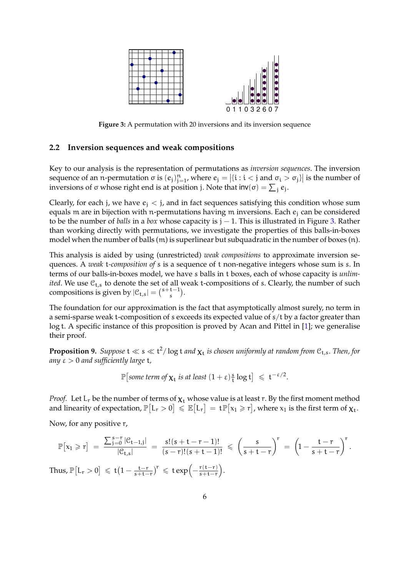<span id="page-5-0"></span>

**Figure 3:** A permutation with 20 inversions and its inversion sequence

### **2.2 Inversion sequences and weak compositions**

Key to our analysis is the representation of permutations as *inversion sequences*. The inversion sequence of an n-permutation  $\sigma$  is  $(e_j)_{j=1}^n$ , where  $e_j = |\{i : i < j \text{ and } \sigma_i > \sigma_j\}|$  is the number of inversions of  $\sigma$  whose right end is at position j. Note that  $\mathsf{inv}(\sigma) = \sum_j e_j$ .

Clearly, for each j, we have  $e_i < j$ , and in fact sequences satisfying this condition whose sum equals m are in bijection with n-permutations having m inversions. Each  $e_i$  can be considered to be the number of *balls* in a *box* whose capacity is j − 1. This is illustrated in Figure [3.](#page-5-0) Rather than working directly with permutations, we investigate the properties of this balls-in-boxes model when the number of balls (m) is superlinear but subquadratic in the number of boxes (n).

This analysis is aided by using (unrestricted) *weak compositions* to approximate inversion sequences. A *weak* t*-composition of* s is a sequence of t non-negative integers whose sum is s. In terms of our balls-in-boxes model, we have s balls in t boxes, each of whose capacity is *unlimited*. We use  $C_{t,s}$  to denote the set of all weak t-compositions of s. Clearly, the number of such compositions is given by  $|\mathcal{C}_{t,s}| = {s+t-1 \choose s}$  $\binom{t-1}{s}$ .

The foundation for our approximation is the fact that asymptotically almost surely, no term in a semi-sparse weak t-composition of s exceeds its expected value of s/t by a factor greater than log t. A specific instance of this proposition is proved by Acan and Pittel in [\[1\]](#page-16-1); we generalise their proof.

<span id="page-5-1"></span>**Proposition 9.** Suppose  $t \ll s \ll t^2/\log t$  and  $\chi_t$  is chosen uniformly at random from  $C_{t,s}$ . Then, for *any* ε > 0 *and sufficiently large* t*,*

$$
\mathbb{P}\left[\text{some term of } \chi_t \text{ is at least } (1+\epsilon)\frac{s}{t} \log t\right] \leq t^{-\epsilon/2}.
$$

*Proof.* Let  $L_r$  be the number of terms of  $\chi_t$  whose value is at least r. By the first moment method and linearity of expectation,  $\mathbb{P}\big[L_r>0\big] \leqslant \mathbb{E}\big[L_r\big]=\mathsf{t}\mathbb{P}\big[x_1\geqslant r\big]$ , where  $\mathrm{x}_1$  is the first term of  $\bm{\chi}_\mathsf{t}$ .

Now, for any positive r,

$$
\mathbb{P}\big[x_1\geqslant r\big]\;=\;\frac{\sum_{j=0}^{s-r}|\mathcal{C}_{t-1,j}|}{|\mathcal{C}_{t,s}|}\;=\;\frac{s!(s+t-r-1)!}{(s-r)!(s+t-1)!}\;\leqslant\; \left(\frac{s}{s+t-r}\right)^r\;=\;\left(1-\frac{t-r}{s+t-r}\right)^r.
$$
 Thus,  $\mathbb{P}\big[L_r>0\big]\;\leqslant\;t\big(1-\frac{t-r}{s+t-r}\big)^r\;\leqslant\;t\exp\Big(-\frac{r(t-r)}{s+t-r}\Big).$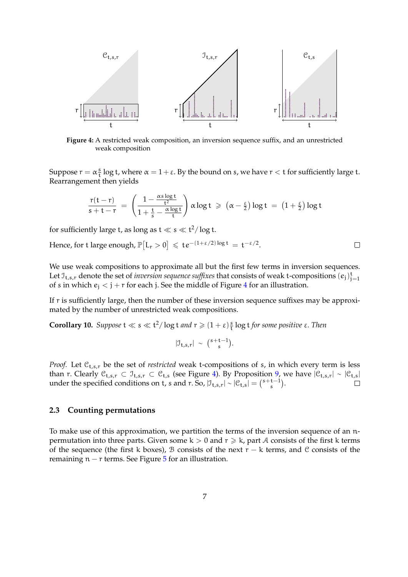<span id="page-6-1"></span>

**Figure 4:** A restricted weak composition, an inversion sequence suffix, and an unrestricted weak composition

Suppose  $r = \alpha \frac{s}{t}$  $\frac{s}{t}$  log t, where  $\alpha = 1 + \varepsilon$ . By the bound on s, we have  $r < t$  for sufficiently large t. Rearrangement then yields

$$
\frac{r(t-r)}{s+t-r} \ = \ \left(\frac{1-\frac{\alpha s \log t}{t^2}}{1+\frac{t}{s}-\frac{\alpha \log t}{t}}\right) \alpha \log t \ \geqslant \ \left(\alpha-\tfrac{\epsilon}{2}\right) \log t \ = \ \left(1+\tfrac{\epsilon}{2}\right) \log t
$$

for sufficiently large t, as long as  $t \ll s \ll t^2/\log t$ .

Hence, for t large enough,  $\mathbb{P}\big[L_r > 0\big] \leqslant t e^{-(1+\epsilon/2)\log t} = t^{-\epsilon/2}.$  $\Box$ 

We use weak compositions to approximate all but the first few terms in inversion sequences. Let  $\mathfrak{I}_{t,s,r}$  denote the set of *inversion sequence suffixes* that consists of weak t-compositions  $(e_j)_{j=1}^t$ of s in which  $e_i < j + r$  for each j. See the middle of Figure [4](#page-6-1) for an illustration.

If r is sufficiently large, then the number of these inversion sequence suffixes may be approximated by the number of unrestricted weak compositions.

<span id="page-6-0"></span>**Corollary 10.** *Suppose*  $t \ll s \ll t^2/\log t$  *and*  $r \geq (1 + \varepsilon) \frac{s}{t}$ t log t *for some positive* ε*. Then*

$$
|\mathfrak{I}_{t,s,r}| \sim {\mathfrak(s+t-1 \choose s}.
$$

*Proof.* Let  $C_{t,s,r}$  be the set of *restricted* weak t-compositions of s, in which every term is less than r. Clearly  $\mathcal{C}_{t,s,r} \subset \mathcal{I}_{t,s,r} \subset \mathcal{C}_{t,s}$  (see Figure [4\)](#page-6-1). By Proposition [9,](#page-5-1) we have  $|\mathcal{C}_{t,s,r}| \sim |\mathcal{C}_{t,s}|$ under the specified conditions on t, s and r. So,  $|\mathcal{I}_{t,s,r}| \sim |\mathcal{C}_{t,s}| = {s+t-1 \choose s}$  $\binom{t-1}{s}$ .  $\Box$ 

### **2.3 Counting permutations**

To make use of this approximation, we partition the terms of the inversion sequence of an npermutation into three parts. Given some  $k > 0$  and  $r \ge k$ , part A consists of the first k terms of the sequence (the first k boxes), B consists of the next  $r - k$  terms, and C consists of the remaining  $n - r$  terms. See Figure  $5$  for an illustration.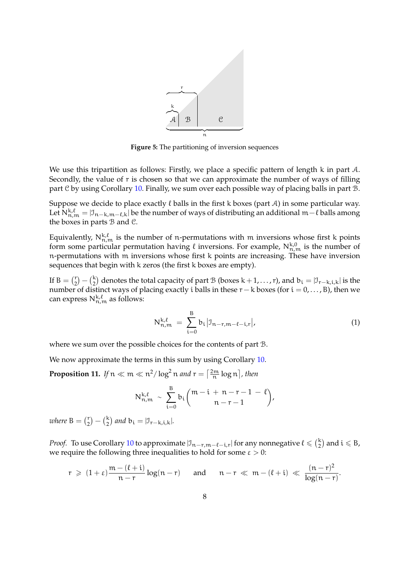<span id="page-7-1"></span>

**Figure 5:** The partitioning of inversion sequences

We use this tripartition as follows: Firstly, we place a specific pattern of length k in part A. Secondly, the value of r is chosen so that we can approximate the number of ways of filling part C by using Corollary [10.](#page-6-0) Finally, we sum over each possible way of placing balls in part B.

Suppose we decide to place exactly  $\ell$  balls in the first k boxes (part A) in some particular way. Let  $N_{n,m}^{k,\ell} = |J_{n-k,m-\ell,k}|$  be the number of ways of distributing an additional m $-\ell$  balls among the boxes in parts  $\beta$  and  $\beta$ .

Equivalently,  $N_{n,m}^{k,\ell}$  is the number of n-permutations with m inversions whose first k points form some particular permutation having  $\ell$  inversions. For example,  $N_{n,m}^{k,0}$  is the number of n-permutations with m inversions whose first k points are increasing. These have inversion sequences that begin with k zeros (the first k boxes are empty).

If  $B = \begin{pmatrix} r \\ 2 \end{pmatrix}$  $\binom{r}{2} - \binom{k}{2}$  denotes the total capacity of part B (boxes k + 1, . . . , r), and  $b_i = |\mathcal{I}_{r-k,i,k}|$  is the number of distinct ways of placing exactly i balls in these  $r - k$  boxes (for  $i = 0, \ldots, B$ ), then we can express  $N_{n,m}^{k,\ell}$  as follows:

<span id="page-7-2"></span>
$$
N_{n,m}^{k,\ell} = \sum_{i=0}^{B} b_i |J_{n-r,m-\ell-i,r}|,
$$
\n(1)

where we sum over the possible choices for the contents of part B.

We now approximate the terms in this sum by using Corollary [10.](#page-6-0)

<span id="page-7-0"></span>**Proposition 11.** If  $n \ll m \ll n^2/\log^2 n$  and  $r = \left\lceil \frac{2m}{n} \log n \right\rceil$ , then

$$
N_{n,m}^{k,\ell} \sim \sum_{i=0}^B b_i {m-i+n-r-1-\ell \choose n-r-1},
$$

*where*  $B = \binom{r}{2}$  $\binom{r}{2} - \binom{k}{2}$  and  $b_i = |\mathbb{J}_{r-k,i,k}|$ .

*Proof.* To use Corollary [10](#page-6-0) to approximate  $|\mathcal{I}_{n-r,m-\ell-i,r}|$  for any nonnegative  $\ell \leq \binom{k}{2}$  and  $i \leq B$ , we require the following three inequalities to hold for some  $\varepsilon > 0$ :

$$
r \, \geqslant \, (1+\epsilon) \frac{m - (\ell + i)}{n - r} \log (n - r) \quad \text{ and } \quad n - r \, \ll \, m - (\ell + i) \, \ll \, \frac{(n - r)^2}{\log (n - r)}.
$$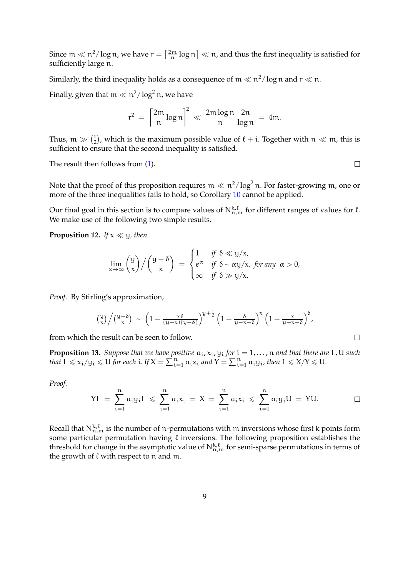Since  $m \ll n^2/\log n$ , we have  $r = \left\lceil \frac{2m}{n} \log n \right\rceil \ll n$ , and thus the first inequality is satisfied for sufficiently large n.

Similarly, the third inequality holds as a consequence of  $\mathfrak{m}\ll \mathfrak{n}^2/\log \mathfrak{n}$  and  $\mathfrak{r}\ll \mathfrak{n}.$ 

Finally, given that  $\mathfrak{m} \ll \mathfrak{n}^2/\log^2 \mathfrak{n}$ , we have

$$
r^2 = \left\lceil \frac{2m}{n} \log n \right\rceil^2 \ll \frac{2m \log n}{n} \frac{2n}{\log n} = 4m.
$$

Thus,  $m \gg \binom{r}{2}$  $\binom{r}{2}$ , which is the maximum possible value of  $\ell + i$ . Together with  $n \ll m$ , this is sufficient to ensure that the second inequality is satisfied.

The result then follows from [\(1\)](#page-7-2).

Note that the proof of this proposition requires  $m \ll n^2/\log^2 n$ . For faster-growing  $m$ , one or more of the three inequalities fails to hold, so Corollary [10](#page-6-0) cannot be applied.

Our final goal in this section is to compare values of  $N_{n,m}^{k,\ell}$  for different ranges of values for  $\ell$ . We make use of the following two simple results.

<span id="page-8-0"></span>**Proposition 12.** *If*  $x \ll y$ *, then* 

$$
\lim_{x \to \infty} {y \choose x} / {y - \delta \choose x} = \begin{cases} 1 & \text{if } \delta \ll y/x, \\ e^{\alpha} & \text{if } \delta \sim \alpha y/x, \text{ for any } \alpha > 0, \\ \infty & \text{if } \delta \gg y/x. \end{cases}
$$

*Proof.* By Stirling's approximation,

$$
\left(\frac{y}{x}\right) \Big/ \left(\frac{y-\delta}{x}\right) \; \sim \; \left(1 - \frac{x\delta}{(y-x)(y-\delta)}\right)^{y+\frac{1}{2}} \left(1 + \frac{\delta}{y-x-\delta}\right)^x \left(1 + \frac{x}{y-x-\delta}\right)^{\delta},
$$

from which the result can be seen to follow.

<span id="page-8-1"></span>**Proposition 13.** *Suppose that we have positive*  $a_i$ ,  $x_i$ ,  $y_i$  *for*  $i = 1, ..., n$  *and that there are* L, U *such that*  $L \le x_i/y_i \le U$  *for each i*. If  $X = \sum_{i=1}^n a_i x_i$  *and*  $Y = \sum_{i=1}^n a_i y_i$ *, then*  $L \le X/Y \le U$ *.* 

*Proof.*

$$
\text{YL} \ = \ \sum_{i=1}^n a_i y_i \text{L} \ \leqslant \ \sum_{i=1}^n a_i x_i \ = \ X \ = \ \sum_{i=1}^n a_i x_i \ \leqslant \ \sum_{i=1}^n a_i y_i \text{U} \ = \ \text{YU}.
$$

Recall that  $N_{n,m}^{k,\ell}$  is the number of n-permutations with m inversions whose first k points form some particular permutation having  $\ell$  inversions. The following proposition establishes the threshold for change in the asymptotic value of  $N_{n,m}^{k,\ell}$  for semi-sparse permutations in terms of the growth of  $\ell$  with respect to n and m.

 $\Box$ 

 $\Box$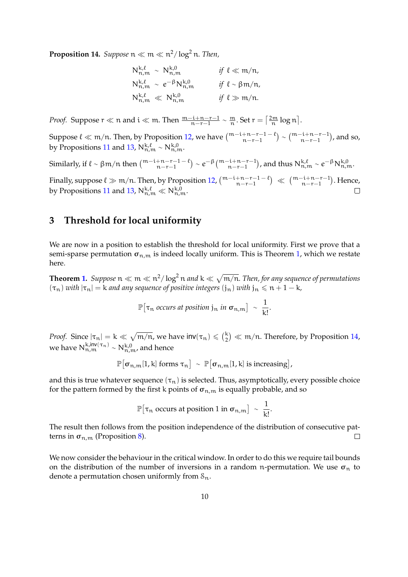<span id="page-9-0"></span> $\bf{Proposition~14.}$   $\emph{Suppose}$   ${\mathfrak n} \ll {\mathfrak m} \ll {\mathfrak n}^2/\log^2{\mathfrak n}.$  Then,

$$
N_{n,m}^{k,\ell} \sim N_{n,m}^{k,0}
$$
 if  $\ell \ll m/n$ ,  
\n
$$
N_{n,m}^{k,\ell} \sim e^{-\beta} N_{n,m}^{k,0}
$$
 if  $\ell \sim \beta m/n$ ,  
\n
$$
N_{n,m}^{k,\ell} \ll N_{n,m}^{k,0}
$$
 if  $\ell \gg m/n$ .

*Proof.* Suppose  $r \ll n$  and  $i \ll m$ . Then  $\frac{m-i+n-r-1}{n-r-1} \sim \frac{m}{n}$ . Set  $r = \left\lceil \frac{2m}{n} \log n \right\rceil$ .

Suppose  $\ell \ll m/n$ . Then, by Proposition [12,](#page-8-0) we have  $\binom{m-i+n-r-1-\ell}{n-r-1} \sim \binom{m-i+n-r-1}{n-r-1}$ , and so, by Propositions [11](#page-7-0) and [13,](#page-8-1)  $N_{n,m}^{k,\ell} \sim N_{n,m}^{k,0}$ .

Similarly, if  $\ell \sim \beta m/n$  then  $\binom{m-i+n-r-1-\ell}{n-r-1} \sim e^{-\beta} \binom{m-i+n-r-1}{n-r-1}$ , and thus  $N_{n,m}^{k,\ell} \sim e^{-\beta} N_{n,m}^{k,0}$ .

Finally, suppose  $\ell \gg m/n$ . Then, by Proposition [12,](#page-8-0)  $\binom{m-i+n-r-1-\ell}{n-r-1} \ll \binom{m-i+n-r-1}{n-r-1}$ . Hence, by Propositions [11](#page-7-0) and [13,](#page-8-1)  $N_{n,m}^{k,\ell} \ll N_{n,m}^{k,0}$ .

# <span id="page-9-1"></span>**3 Threshold for local uniformity**

We are now in a position to establish the threshold for local uniformity. First we prove that a semi-sparse permutation  $\sigma_{n,m}$  is indeed locally uniform. This is Theorem [1,](#page-2-0) which we restate here.

**Theorem [1.](#page-2-0)** Suppose  $n \ll m \ll n^2/\log^2 n$  and  $k \ll \sqrt{m/n}$ . Then, for any sequence of permutations  $(\tau_n)$  *with*  $|\tau_n| = k$  *and any sequence of positive integers*  $(j_n)$  *with*  $j_n \leq n + 1 - k$ *,* 

> $\mathbb{P}[\tau_n$  *occurs at position* j<sub>n</sub> in  $\sigma_{n,m}$   $] \sim \frac{1}{\nu}$  $\frac{1}{k!}$

*Proof.* Since  $|\tau_n| = k \ll \sqrt{m/n}$ , we have  $\text{inv}(\tau_n) \leq \binom{k}{2} \ll m/n$ . Therefore, by Proposition [14,](#page-9-0) we have  $N_{n,m}^{k,inv(\tau_n)} \sim N_{n,m}^{k,0}$ , and hence

$$
\mathbb{P}[\sigma_{n,m}[1,k] \text{ forms } \tau_n] \sim \mathbb{P}[\sigma_{n,m}[1,k] \text{ is increasing}],
$$

and this is true whatever sequence  $(\tau_n)$  is selected. Thus, asymptotically, every possible choice for the pattern formed by the first k points of  $\sigma_{n,m}$  is equally probable, and so

$$
\mathbb{P}[\tau_n \text{ occurs at position 1 in } \sigma_{n,m}] \sim \frac{1}{k!}
$$

.

The result then follows from the position independence of the distribution of consecutive patterns in  $\sigma_{n,m}$  (Proposition [8\)](#page-4-0).  $\Box$ 

We now consider the behaviour in the critical window. In order to do this we require tail bounds on the distribution of the number of inversions in a random n-permutation. We use  $\sigma_n$  to denote a permutation chosen uniformly from  $S_n$ .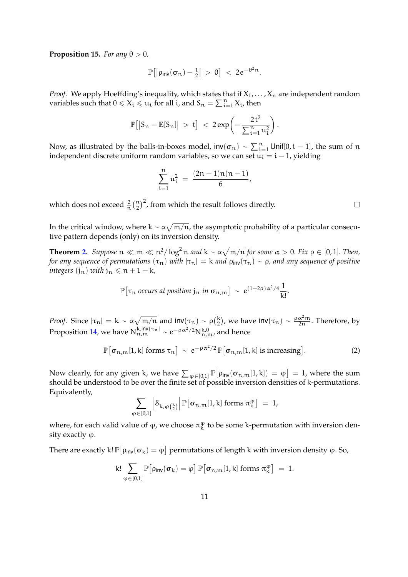<span id="page-10-1"></span>**Proposition 15.** *For any*  $\theta > 0$ *,* 

$$
\mathbb{P}\big[\big|\rho_{\text{inv}}(\sigma_n)-\tfrac{1}{2}\big| > \theta\big] < 2e^{-\theta^2 n}.
$$

*Proof.* We apply Hoeffding's inequality, which states that if  $X_1, \ldots, X_n$  are independent random variables such that  $0 \leq X_i \leq u_i$  for all i, and  $S_n = \sum_{i=1}^n X_i$ , then

$$
\mathbb{P}\big[ \big| S_n - \mathbb{E}[S_n] \big| \, > \, t \big] \, < \, 2\, exp\bigg( - \frac{2\, t^2}{\sum_{i=1}^n u_i^2} \bigg) \, .
$$

Now, as illustrated by the balls-in-boxes model,  $\mathsf{inv}(\sigma_n) \sim \sum_{i=1}^n \mathsf{Unif}[0,i-1]$ , the sum of  $n$ independent discrete uniform random variables, so we can set  $u_i = i - 1$ , yielding

$$
\sum_{i=1}^{n} u_i^2 = \frac{(2n-1)n(n-1)}{6},
$$

which does not exceed  $\frac{2}{n} \binom{n}{2}^2$ , from which the result follows directly.

In the critical window, where k ~  $\alpha\sqrt{m/n}$ , the asymptotic probability of a particular consecutive pattern depends (only) on its inversion density.

**Theorem [2.](#page-2-1)** Suppose  $n \ll m \ll n^2/\log^2 n$  and  $k \sim \alpha \sqrt{m/n}$  for some  $\alpha > 0$ . Fix  $\rho \in [0,1]$ . Then, *for any sequence of permutations*  $(\tau_n)$  *with*  $|\tau_n| = k$  *and*  $\rho_{inv}(\tau_n) \sim \rho$ *, and any sequence of positive integers*  $(j_n)$  *with*  $j_n \leq n + 1 - k$ *,* 

$$
\mathbb{P}[\tau_n \text{ occurs at position } j_n \text{ in } \sigma_{n,m}] \sim e^{(1-2\rho)\alpha^2/4} \frac{1}{k!}
$$

*Proof.* Since  $|\tau_n| = k \sim \alpha \sqrt{m/n}$  and  $inv(\tau_n) \sim \rho(\frac{k}{2})$ , we have  $inv(\tau_n) \sim \frac{\rho \alpha^2 m}{2n}$  $\frac{\alpha - m}{2n}$ . Therefore, by Proposition [14,](#page-9-0) we have  $N_{n,m}^{k,inv(\tau_n)} \sim e^{-\rho \alpha^2/2} N_{n,m}^{k,0}$ , and hence

<span id="page-10-0"></span>
$$
\mathbb{P}[\sigma_{n,m}[1,k] \text{ forms } \tau_n] \sim e^{-\rho \alpha^2/2} \mathbb{P}[\sigma_{n,m}[1,k] \text{ is increasing}]. \tag{2}
$$

.

Now clearly, for any given k, we have  $\sum_{\varphi \in [0,1]} \mathbb{P} \big[ \rho_{\mathsf{inv}}(\sigma_{n,m}[1,k]) = \varphi \big] = 1$ , where the sum should be understood to be over the finite set of possible inversion densities of k-permutations. Equivalently,

$$
\sum_{\phi \in [0,1]} \left| \mathcal{S}_{k,\phi\left(\frac{k}{2}\right)} \right| \mathbb{P}\big[\sigma_{n,m}[1,k] \text{ forms } \pi^\phi_k \big] \; = \; 1,
$$

where, for each valid value of  $\varphi$ , we choose  $\pi_k^{\varphi}$  to be some k-permutation with inversion density exactly  $\varphi$ .

There are exactly k!  $\mathbb{P}\big[\rho_\mathsf{inv}(\sigma_\mathsf{k})=\phi\big]$  permutations of length k with inversion density  $\phi$ . So,

$$
k! \sum_{\phi \in [0,1]} \mathbb{P}\big[\rho_\text{inv}(\sigma_k) = \phi\big] \, \mathbb{P}\big[\sigma_{n,m}[1,k] \text{ forms } \pi^\phi_k\big] \; = \; 1.
$$

 $\Box$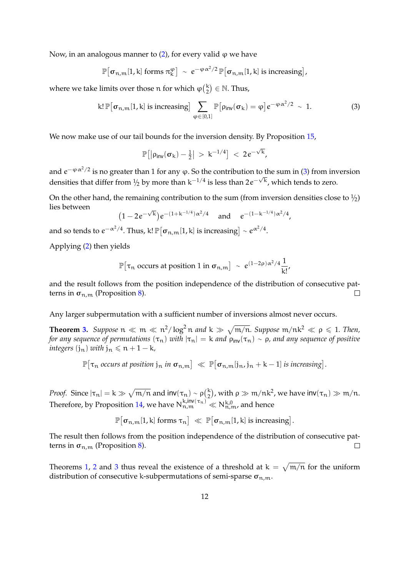Now, in an analogous manner to  $(2)$ , for every valid  $\varphi$  we have

$$
\mathbb{P}[\sigma_{n,m}[1,k] \text{ forms } \pi_k^{\varphi}] \sim e^{-\varphi \alpha^2/2} \mathbb{P}[\sigma_{n,m}[1,k] \text{ is increasing}],
$$

where we take limits over those n for which  $\varphi\left(\frac{k}{2}\right) \in \mathbb{N}$ . Thus,

<span id="page-11-0"></span>
$$
\mathsf{k}!\,\mathbb{P}\big[\sigma_{\mathsf{n},\mathsf{m}}[1,\mathsf{k}]\text{ is increasing}\big]\sum_{\varphi\in[0,1]}\mathbb{P}\big[\rho_{\mathsf{inv}}(\sigma_{\mathsf{k}})=\varphi\big]e^{-\varphi\,\alpha^2/2}\,\sim\,1.\tag{3}
$$

We now make use of our tail bounds for the inversion density. By Proposition [15,](#page-10-1)

$$
\mathbb{P}\big[\big|\rho_{\text{inv}}(\sigma_k)-\tfrac{1}{2}\big|~>~k^{-1/4}\big]~<~2\hspace{.05cm}e^{-\sqrt{k}},
$$

and  $e^{-\varphi\alpha^2/2}$  is no greater than 1 for any  $\varphi$ . So the contribution to the sum in [\(3\)](#page-11-0) from inversion densities that differ from  $\frac{1}{2}$  by more than k<sup>-1/4</sup> is less than 2e<sup>- $\sqrt{k}$ </sup>, which tends to zero.

On the other hand, the remaining contribution to the sum (from inversion densities close to  $\frac{1}{2}$ ) lies between √

$$
(1-2e^{-\sqrt{k}})e^{-(1+k^{-1/4})\alpha^2/4}
$$
 and  $e^{-(1-k^{-1/4})\alpha^2/4}$ ,

and so tends to  $e^{-\alpha^2/4}$ . Thus, k!  $\mathbb{P}\big[\boldsymbol{\sigma}_{\text{n},\text{m}}[1,\textsf{k}]$  is increasing $\big]\sim e^{\alpha^2/4}.$ 

Applying [\(2\)](#page-10-0) then yields

$$
\mathbb{P}[\tau_n \text{ occurs at position 1 in } \sigma_{n,m}] \sim e^{(1-2\rho)\alpha^2/4} \frac{1}{k!},
$$

and the result follows from the position independence of the distribution of consecutive patterns in  $\sigma_{n,m}$  (Proposition [8\)](#page-4-0).  $\Box$ 

Any larger subpermutation with a sufficient number of inversions almost never occurs.

**Theorem [3.](#page-2-2)** Suppose  $n \ll m \ll n^2/\log^2 n$  and  $k \gg \sqrt{m/n}$ . Suppose  $m/nk^2 \ll \rho \leq 1$ . Then, *for any sequence of permutations*  $(\tau_n)$  *with*  $|\tau_n| = k$  *and*  $\rho_{\text{inv}}(\tau_n) \sim \rho$ *, and any sequence of positive integers*  $(i_n)$  *with*  $j_n \leq n + 1 - k$ *,* 

$$
\mathbb{P}[\tau_n \text{ occurs at position } j_n \text{ in } \sigma_{n,m}] \ll \mathbb{P}[\sigma_{n,m}[j_n, j_n + k - 1] \text{ is increasing}].
$$

*Proof.* Since  $|\tau_n| = k \gg \sqrt{m/n}$  and  $inv(\tau_n) \sim \rho(\frac{k}{2})$ , with  $\rho \gg m/nk^2$ , we have  $inv(\tau_n) \gg m/n$ . 2 Therefore, by Proposition [14,](#page-9-0) we have  $N_{n,m}^{k,inv(\tau_n)} \ll N_{n,m}^{k,0}$ , and hence

$$
\mathbb{P}\big[\sigma_{n,m}[1,k] \text{ forms } \tau_n\big] \ll \mathbb{P}\big[\sigma_{n,m}[1,k] \text{ is increasing}\big].
$$

The result then follows from the position independence of the distribution of consecutive patterns in  $\sigma_{n,m}$  (Proposition [8\)](#page-4-0).  $\Box$ 

Theorems [1,](#page-2-0) [2](#page-2-1) and [3](#page-2-2) thus reveal the existence of a threshold at  $k = \sqrt{m/n}$  for the uniform distribution of consecutive k-subpermutations of semi-sparse  $\sigma_{n,m}$ .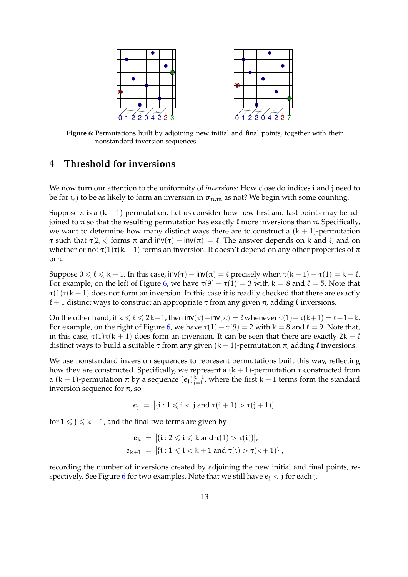<span id="page-12-1"></span>

**Figure 6:** Permutations built by adjoining new initial and final points, together with their nonstandard inversion sequences

### <span id="page-12-0"></span>**4 Threshold for inversions**

We now turn our attention to the uniformity of *inversions*: How close do indices i and j need to be for i, j to be as likely to form an inversion in  $\sigma_{n,m}$  as not? We begin with some counting.

Suppose  $\pi$  is a (k – 1)-permutation. Let us consider how new first and last points may be adjoined to  $\pi$  so that the resulting permutation has exactly  $\ell$  more inversions than π. Specifically, we want to determine how many distinct ways there are to construct a  $(k + 1)$ -permutation τ such that τ[2, k] forms π and  $inv(τ) - inv(π) = \ell$ . The answer depends on k and  $\ell$ , and on whether or not  $\tau(1)\tau(k+1)$  forms an inversion. It doesn't depend on any other properties of  $\pi$ or τ.

Suppose  $0 \le \ell \le k - 1$ . In this case,  $inv(\tau) - inv(\pi) = \ell$  precisely when  $\tau(k + 1) - \tau(1) = k - \ell$ . For example, on the left of Figure [6,](#page-12-1) we have  $\tau(9) - \tau(1) = 3$  with  $k = 8$  and  $\ell = 5$ . Note that  $\tau(1)\tau(k+1)$  does not form an inversion. In this case it is readily checked that there are exactly  $\ell + 1$  distinct ways to construct an appropriate  $\tau$  from any given  $\pi$ , adding  $\ell$  inversions.

On the other hand, if  $k \le \ell \le 2k-1$ , then  $inv(\tau) - inv(\pi) = \ell$  whenever  $\tau(1) - \tau(k+1) = \ell+1-k$ . For example, on the right of Figure [6,](#page-12-1) we have  $\tau(1) - \tau(9) = 2$  with k = 8 and  $\ell = 9$ . Note that, in this case,  $\tau(1)\tau(k + 1)$  does form an inversion. It can be seen that there are exactly  $2k - \ell$ distinct ways to build a suitable  $\tau$  from any given  $(k - 1)$ -permutation  $\pi$ , adding  $\ell$  inversions.

We use nonstandard inversion sequences to represent permutations built this way, reflecting how they are constructed. Specifically, we represent a  $(k + 1)$ -permutation τ constructed from a  $(k-1)$ -permutation  $\pi$  by a sequence  $(e_j)_{j=1}^{k+1}$ , where the first  $k-1$  terms form the standard inversion sequence for  $\pi$ , so

 $e_j = |{i : 1 \le i < j \text{ and } \tau(i+1) > \tau(j+1)}|$ 

for  $1 \le j \le k - 1$ , and the final two terms are given by

$$
e_k = |\{i : 2 \leq i \leq k \text{ and } \tau(1) > \tau(i)\}|,
$$
  

$$
e_{k+1} = |\{i : 1 \leq i < k+1 \text{ and } \tau(i) > \tau(k+1)\}|,
$$

recording the number of inversions created by adjoining the new initial and final points, re-spectively. See Figure [6](#page-12-1) for two examples. Note that we still have  $e_i < j$  for each j.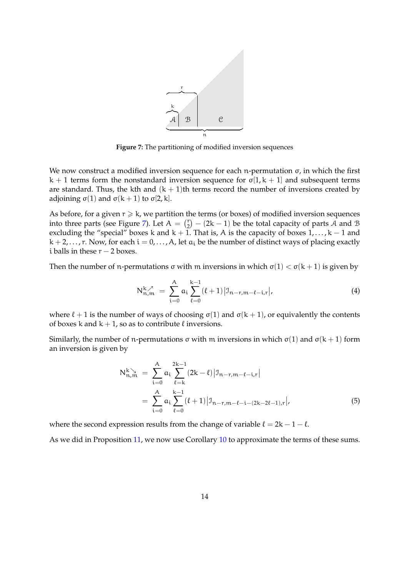<span id="page-13-0"></span>

**Figure 7:** The partitioning of modified inversion sequences

We now construct a modified inversion sequence for each n-permutation  $\sigma$ , in which the first  $k + 1$  terms form the nonstandard inversion sequence for  $\sigma[1, k + 1]$  and subsequent terms are standard. Thus, the kth and  $(k + 1)$ th terms record the number of inversions created by adjoining  $σ(1)$  and  $σ(k+1)$  to  $σ[2, k]$ .

As before, for a given  $r \ge k$ , we partition the terms (or boxes) of modified inversion sequences into three parts (see Figure [7\)](#page-13-0). Let  $A = \begin{pmatrix} r \\ 2 \end{pmatrix}$  $\binom{r}{2}$  – (2k – 1) be the total capacity of parts A and B excluding the "special" boxes k and  $k + 1$ . That is, A is the capacity of boxes  $1, \ldots, k - 1$  and  $k + 2, \ldots, r$ . Now, for each  $i = 0, \ldots, A$ , let  $a_i$  be the number of distinct ways of placing exactly i balls in these  $r - 2$  boxes.

Then the number of n-permutations  $\sigma$  with m inversions in which  $\sigma(1) < \sigma(k+1)$  is given by

<span id="page-13-1"></span>
$$
N_{n,m}^{k,\lambda} = \sum_{i=0}^{A} a_i \sum_{\ell=0}^{k-1} (\ell+1) |J_{n-r,m-\ell-i,r}|,
$$
 (4)

where  $\ell + 1$  is the number of ways of choosing  $\sigma(1)$  and  $\sigma(k + 1)$ , or equivalently the contents of boxes k and  $k + 1$ , so as to contribute  $\ell$  inversions.

Similarly, the number of n-permutations σ with m inversions in which σ(1) and σ(k + 1) form an inversion is given by

<span id="page-13-2"></span>
$$
N_{n,m}^{k} = \sum_{i=0}^{A} a_i \sum_{\ell=k}^{2k-1} (2k - \ell) |J_{n-r,m-\ell-i,r}|
$$
  
= 
$$
\sum_{i=0}^{A} a_i \sum_{\ell=0}^{k-1} (\ell+1) |J_{n-r,m-\ell-i-(2k-2\ell-1),r}|,
$$
 (5)

where the second expression results from the change of variable  $\ell = 2k - 1 - \ell$ .

As we did in Proposition [11,](#page-7-0) we now use Corollary [10](#page-6-0) to approximate the terms of these sums.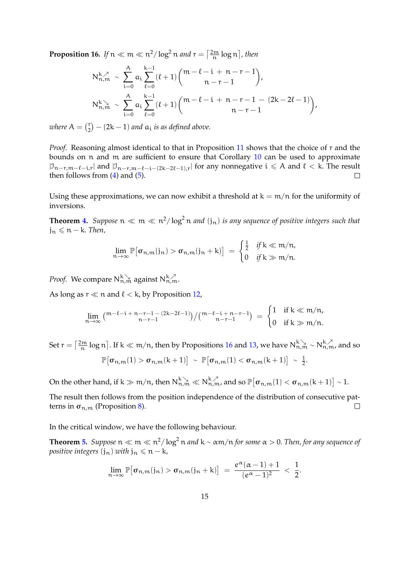<span id="page-14-0"></span>**Proposition 16.** If  $n \ll m \ll n^2/\log^2 n$  and  $r = \left\lceil \frac{2m}{n} \log n \right\rceil$ , then

$$
\begin{aligned} N_{n,m}^{k,\nearrow} &\sim \sum_{i=0}^{A} a_i \sum_{\ell=0}^{k-1} (\ell+1) \binom{m-\ell-i+n-r-1}{n-r-1}, \\ N_{n,m}^{k,\searrow} &\sim \sum_{i=0}^{A} a_i \sum_{\ell=0}^{k-1} (\ell+1) \binom{m-\ell-i+n-r-1-(2k-2\ell-1)}{n-r-1}, \end{aligned}
$$

*where*  $A = \begin{pmatrix} r \\ 2 \end{pmatrix}$  $\binom{r}{2}$  – (2k – 1) and  $a_i$  is as defined above.

*Proof.* Reasoning almost identical to that in Proposition [11](#page-7-0) shows that the choice of r and the bounds on n and m are sufficient to ensure that Corollary [10](#page-6-0) can be used to approximate  $|\mathcal{I}_{n-r,m-\ell-i,r}|$  and  $|\mathcal{I}_{n-r,m-\ell-i-(2k-2\ell-1),r}|$  for any nonnegative  $i \leq A$  and  $\ell < k$ . The result then follows from  $(4)$  and  $(5)$ .  $\Box$ 

Using these approximations, we can now exhibit a threshold at  $k = m/n$  for the uniformity of inversions.

**Theorem [4.](#page-2-3)** Suppose  $n \ll m \ll n^2/\log^2 n$  and  $(j_n)$  is any sequence of positive integers such that  $j_n \leq n - k$ *. Then,* 

$$
\lim_{n\to\infty}\mathbb{P}[\sigma_{n,m}(j_n) > \sigma_{n,m}(j_n+k)] = \begin{cases} \frac{1}{2} & \text{if } k \ll m/n, \\ 0 & \text{if } k \gg m/n. \end{cases}
$$

*Proof.* We compare  $N_{n,m}^{k}$  against  $N_{n,m}^{k}$ .

As long as  $r \ll n$  and  $\ell < k$ , by Proposition [12,](#page-8-0)

$$
\lim_{n\to\infty}{\big(^{m-\ell-i+n-r-1} \atop n-r-1}(2k-2\ell-1)\big)}/\big({^{m-\ell-i+n-r-1}}\big) \, = \, \begin{cases} 1 & \text{if } k \ll m/n, \\ 0 & \text{if } k \gg m/n. \end{cases}
$$

Set  $r = \left\lceil \frac{2m}{n} \log n \right\rceil$ . If k ≪ m/n, then by Propositions [16](#page-14-0) and [13,](#page-8-1) we have  $N_{n,m}^{k} \sim N_{n,m}^{k}$ , and so  $\mathbb{P}\big[\sigma_{\mathfrak{n},\mathfrak{m}}(1) > \sigma_{\mathfrak{n},\mathfrak{m}}(\mathsf{k}+1)\big] \sim \mathbb{P}\big[\sigma_{\mathfrak{n},\mathfrak{m}}(1) < \sigma_{\mathfrak{n},\mathfrak{m}}(\mathsf{k}+1)\big] \sim \frac{1}{2}$  $\frac{1}{2}$ .

On the other hand, if  $k\gg m/n$ , then  $N_{n,m}^{k}\ll N_{n,m}^{k,\lambda}$ , and so  $\mathbb{P}\big[\sigma_{n,m}(1)<\sigma_{n,m}(k+1)\big]\sim 1.$ 

The result then follows from the position independence of the distribution of consecutive patterns in  $\sigma_{n,m}$  (Proposition [8\)](#page-4-0).  $\Box$ 

In the critical window, we have the following behaviour.

**Theorem [5.](#page-3-0)** Suppose  $n \ll m \ll n^2/\log^2 n$  and  $k \sim \alpha m/n$  for some  $\alpha > 0$ . Then, for any sequence of *positive integers*  $(j_n)$  *with*  $j_n \leq n - k$ *,* 

$$
\lim_{n\to\infty}\mathbb{P}\big[\sigma_{n,m}(j_n)>\sigma_{n,m}(j_n+k)\big] \;=\; \frac{e^{\alpha}(\alpha-1)+1}{(e^{\alpha}-1)^2}\;<\; \frac{1}{2}.
$$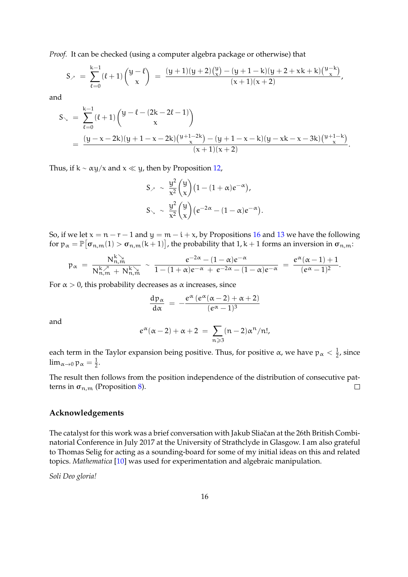*Proof.* It can be checked (using a computer algebra package or otherwise) that

$$
S_{\ell} = \sum_{\ell=0}^{k-1} (\ell+1) {\binom{y-\ell}{x}} = \frac{(y+1)(y+2) {\binom{y}{x}} - (y+1-k) (y+2+xk+k) {\binom{y-k}{x}}}{(x+1)(x+2)},
$$

and

$$
\begin{aligned} S_{\searrow} &= \sum_{\ell=0}^{k-1} (\ell+1) \binom{y-\ell-(2k-2\ell-1)}{x} \\ &= \frac{(y-x-2k)(y+1-x-2k) \binom{y+1-2k}{x} - (y+1-x-k) (y-xk-x-3k) \binom{y+1-k}{x}}{(x+1)(x+2)} . \end{aligned}
$$

Thus, if  $k \sim \alpha y/x$  and  $x \ll y$ , then by Proposition [12,](#page-8-0)

$$
S_{\nearrow} \sim \frac{y^2}{x^2} {y \choose x} (1 - (1 + \alpha)e^{-\alpha}),
$$
  
\n
$$
S_{\searrow} \sim \frac{y^2}{x^2} {y \choose x} (e^{-2\alpha} - (1 - \alpha)e^{-\alpha}).
$$

So, if we let  $x = n - r - 1$  and  $y = m - i + x$ , by Propositions [16](#page-14-0) and [13](#page-8-1) we have the following for  $p_\alpha = \mathbb{P}[\sigma_{n,m}(1) > \sigma_{n,m}(k+1)]$ , the probability that 1, k + 1 forms an inversion in  $\sigma_{n,m}$ :

$$
\mathfrak{p}_\alpha\,=\,\frac{N^k_{n,m}}{N^k_{n,m}\,+\,N^k_{n,m}}\,\sim\,\frac{e^{-2\alpha}-(1-\alpha)e^{-\alpha}}{1-(1+\alpha)e^{-\alpha}\,+\,e^{-2\alpha}-(1-\alpha)e^{-\alpha}}\,=\,\frac{e^\alpha(\alpha-1)+1}{(e^\alpha-1)^2}.
$$

For  $\alpha > 0$ , this probability decreases as  $\alpha$  increases, since

$$
\frac{d p_\alpha}{d\alpha}\ =\ -\frac{e^\alpha\,(e^\alpha(\alpha-2)+\alpha+2)}{(e^\alpha-1)^3}
$$

and

$$
e^{\alpha}(\alpha-2)+\alpha+2 ~=~ \sum_{n\geqslant 3}(n-2)\alpha^n/n!,
$$

each term in the Taylor expansion being positive. Thus, for positive  $\alpha$ , we have  $p_{\alpha} < \frac{1}{2}$  $\frac{1}{2}$ , since  $\lim_{\alpha\to 0} \operatorname{\mathfrak{p}}_\alpha = \frac{1}{2}$  $rac{1}{2}$ .

The result then follows from the position independence of the distribution of consecutive patterns in  $\sigma_{n,m}$  (Proposition [8\)](#page-4-0).  $\Box$ 

#### **Acknowledgements**

The catalyst for this work was a brief conversation with Jakub Sliačan at the 26th British Combinatorial Conference in July 2017 at the University of Strathclyde in Glasgow. I am also grateful to Thomas Selig for acting as a sounding-board for some of my initial ideas on this and related topics. *Mathematica* [\[10\]](#page-16-9) was used for experimentation and algebraic manipulation.

*Soli Deo gloria!*